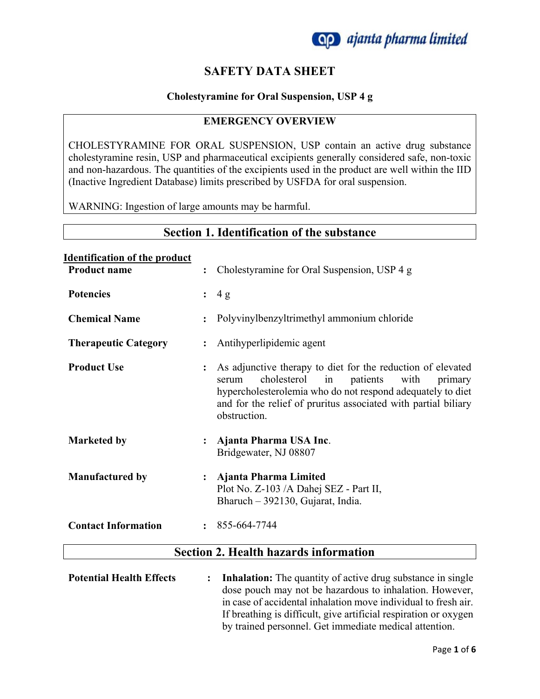

# **SAFETY DATA SHEET**

#### **Cholestyramine for Oral Suspension, USP 4 g**

#### **EMERGENCY OVERVIEW**

CHOLESTYRAMINE FOR ORAL SUSPENSION, USP contain an active drug substance cholestyramine resin, USP and pharmaceutical excipients generally considered safe, non-toxic and non-hazardous. The quantities of the excipients used in the product are well within the IID (Inactive Ingredient Database) limits prescribed by USFDA for oral suspension.

WARNING: Ingestion of large amounts may be harmful.

## **Section 1. Identification of the substance**

#### **Identification of the product**

| <b>Product name</b>         |                      | : Cholestyramine for Oral Suspension, USP 4 g                                                                                                                                                                                                                            |
|-----------------------------|----------------------|--------------------------------------------------------------------------------------------------------------------------------------------------------------------------------------------------------------------------------------------------------------------------|
| <b>Potencies</b>            |                      | : 4g                                                                                                                                                                                                                                                                     |
| <b>Chemical Name</b>        | $\ddot{\phantom{a}}$ | Polyvinylbenzyltrimethyl ammonium chloride                                                                                                                                                                                                                               |
| <b>Therapeutic Category</b> | $\ddot{\phantom{a}}$ | Antihyperlipidemic agent                                                                                                                                                                                                                                                 |
| <b>Product Use</b>          | $\ddot{\cdot}$       | As adjunctive therapy to diet for the reduction of elevated<br>cholesterol<br>patients<br>with<br>in<br>primary<br>serum<br>hypercholesterolemia who do not respond adequately to diet<br>and for the relief of pruritus associated with partial biliary<br>obstruction. |
| <b>Marketed by</b>          |                      | Ajanta Pharma USA Inc.<br>Bridgewater, NJ 08807                                                                                                                                                                                                                          |
| <b>Manufactured by</b>      |                      | Ajanta Pharma Limited<br>Plot No. Z-103 /A Dahej SEZ - Part II,<br>Bharuch - 392130, Gujarat, India.                                                                                                                                                                     |
| <b>Contact Information</b>  |                      | $: 855-664-7744$                                                                                                                                                                                                                                                         |
|                             |                      | <b>Section 2. Health hazards information</b>                                                                                                                                                                                                                             |
|                             |                      |                                                                                                                                                                                                                                                                          |

**Potential Health Effects : Inhalation:** The quantity of active drug substance in single dose pouch may not be hazardous to inhalation. However, in case of accidental inhalation move individual to fresh air. If breathing is difficult, give artificial respiration or oxygen by trained personnel. Get immediate medical attention.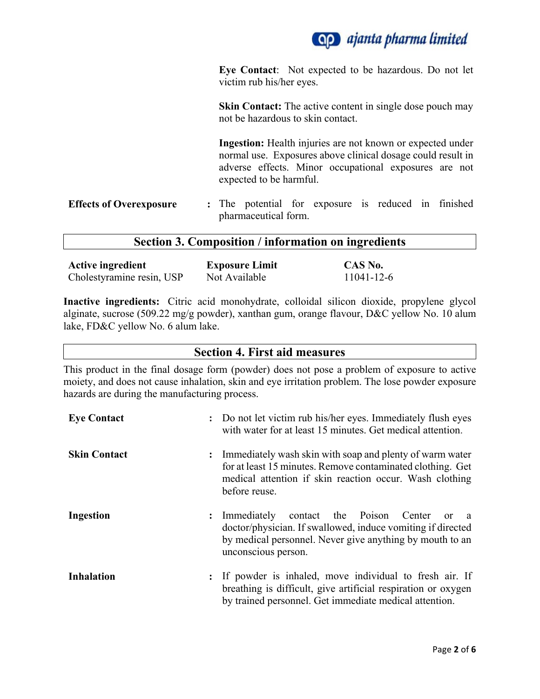

**Eye Contact**: Not expected to be hazardous. Do not let victim rub his/her eyes.

**Skin Contact:** The active content in single dose pouch may not be hazardous to skin contact.

**Ingestion:** Health injuries are not known or expected under normal use. Exposures above clinical dosage could result in adverse effects. Minor occupational exposures are not expected to be harmful.

**Effects of Overexposure :** The potential for exposure is reduced in finished pharmaceutical form.

#### **Section 3. Composition / information on ingredients**

| <b>Active ingredient</b>  | <b>Exposure Limit</b> | CAS No.    |
|---------------------------|-----------------------|------------|
| Cholestyramine resin, USP | Not Available         | 11041-12-6 |

**Inactive ingredients:** Citric acid monohydrate, colloidal silicon dioxide, propylene glycol alginate, sucrose (509.22 mg/g powder), xanthan gum, orange flavour, D&C yellow No. 10 alum lake, FD&C yellow No. 6 alum lake.

#### **Section 4. First aid measures**

This product in the final dosage form (powder) does not pose a problem of exposure to active moiety, and does not cause inhalation, skin and eye irritation problem. The lose powder exposure hazards are during the manufacturing process.

| <b>Eye Contact</b>  |                | : Do not let victim rub his/her eyes. Immediately flush eyes<br>with water for at least 15 minutes. Get medical attention.                                                                                           |
|---------------------|----------------|----------------------------------------------------------------------------------------------------------------------------------------------------------------------------------------------------------------------|
| <b>Skin Contact</b> | $\ddot{\cdot}$ | Immediately wash skin with soap and plenty of warm water<br>for at least 15 minutes. Remove contaminated clothing. Get<br>medical attention if skin reaction occur. Wash clothing<br>before reuse.                   |
| <b>Ingestion</b>    |                | contact the Poison Center<br>: Immediately<br><sub>or</sub><br>- a<br>doctor/physician. If swallowed, induce vomiting if directed<br>by medical personnel. Never give anything by mouth to an<br>unconscious person. |
| <b>Inhalation</b>   |                | : If powder is inhaled, move individual to fresh air. If<br>breathing is difficult, give artificial respiration or oxygen<br>by trained personnel. Get immediate medical attention.                                  |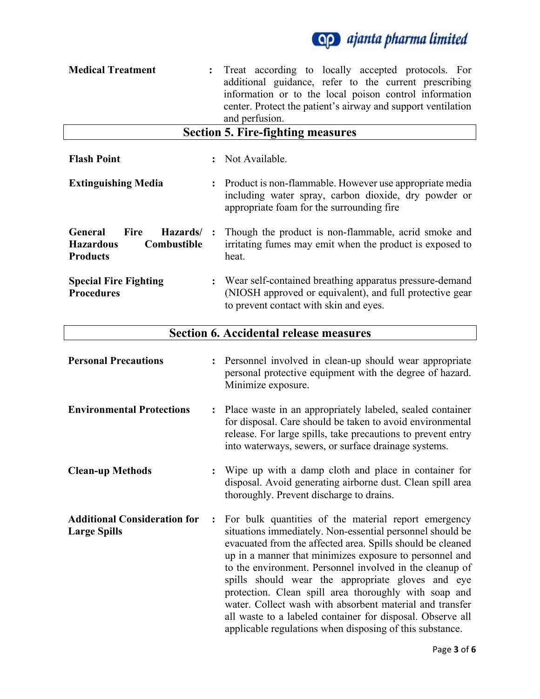

| <b>Medical Treatment</b>                                                                 |                | Treat according to locally accepted protocols. For<br>additional guidance, refer to the current prescribing<br>information or to the local poison control information<br>center. Protect the patient's airway and support ventilation<br>and perfusion.                                                                                                                                                                                                                                                                                                                                                    |
|------------------------------------------------------------------------------------------|----------------|------------------------------------------------------------------------------------------------------------------------------------------------------------------------------------------------------------------------------------------------------------------------------------------------------------------------------------------------------------------------------------------------------------------------------------------------------------------------------------------------------------------------------------------------------------------------------------------------------------|
|                                                                                          |                | <b>Section 5. Fire-fighting measures</b>                                                                                                                                                                                                                                                                                                                                                                                                                                                                                                                                                                   |
| <b>Flash Point</b>                                                                       |                | Not Available.                                                                                                                                                                                                                                                                                                                                                                                                                                                                                                                                                                                             |
| <b>Extinguishing Media</b>                                                               |                | Product is non-flammable. However use appropriate media<br>including water spray, carbon dioxide, dry powder or<br>appropriate foam for the surrounding fire                                                                                                                                                                                                                                                                                                                                                                                                                                               |
| General<br><b>Fire</b><br>Hazards/<br><b>Hazardous</b><br>Combustible<br><b>Products</b> |                | Though the product is non-flammable, acrid smoke and<br>irritating fumes may emit when the product is exposed to<br>heat.                                                                                                                                                                                                                                                                                                                                                                                                                                                                                  |
| <b>Special Fire Fighting</b><br><b>Procedures</b>                                        |                | Wear self-contained breathing apparatus pressure-demand<br>(NIOSH approved or equivalent), and full protective gear<br>to prevent contact with skin and eyes.                                                                                                                                                                                                                                                                                                                                                                                                                                              |
|                                                                                          |                | <b>Section 6. Accidental release measures</b>                                                                                                                                                                                                                                                                                                                                                                                                                                                                                                                                                              |
| <b>Personal Precautions</b>                                                              |                | Personnel involved in clean-up should wear appropriate<br>personal protective equipment with the degree of hazard.<br>Minimize exposure.                                                                                                                                                                                                                                                                                                                                                                                                                                                                   |
| <b>Environmental Protections</b>                                                         | $\ddot{\cdot}$ | Place waste in an appropriately labeled, sealed container<br>for disposal. Care should be taken to avoid environmental<br>release. For large spills, take precautions to prevent entry<br>into waterways, sewers, or surface drainage systems.                                                                                                                                                                                                                                                                                                                                                             |
| <b>Clean-up Methods</b>                                                                  |                | Wipe up with a damp cloth and place in container for<br>disposal. Avoid generating airborne dust. Clean spill area<br>thoroughly. Prevent discharge to drains.                                                                                                                                                                                                                                                                                                                                                                                                                                             |
| <b>Additional Consideration for</b><br><b>Large Spills</b>                               |                | For bulk quantities of the material report emergency<br>situations immediately. Non-essential personnel should be<br>evacuated from the affected area. Spills should be cleaned<br>up in a manner that minimizes exposure to personnel and<br>to the environment. Personnel involved in the cleanup of<br>spills should wear the appropriate gloves and eye<br>protection. Clean spill area thoroughly with soap and<br>water. Collect wash with absorbent material and transfer<br>all waste to a labeled container for disposal. Observe all<br>applicable regulations when disposing of this substance. |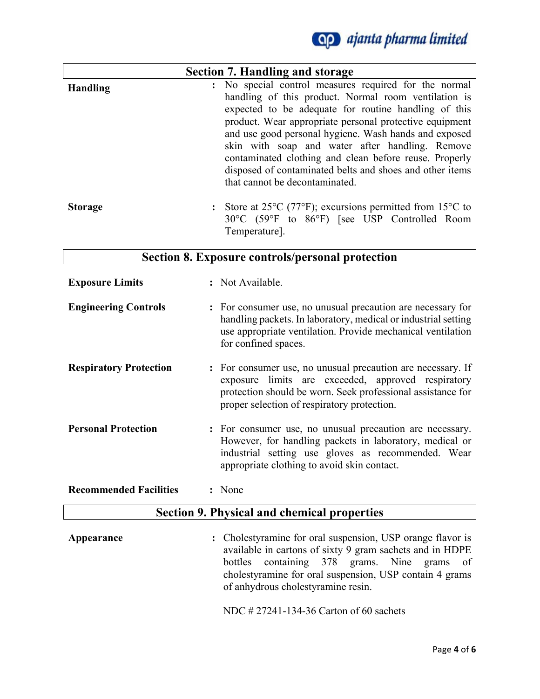

|                 | <b>Section 7. Handling and storage</b>                                                                                                                                                                                                                                                                                                                                                                                                                                                               |
|-----------------|------------------------------------------------------------------------------------------------------------------------------------------------------------------------------------------------------------------------------------------------------------------------------------------------------------------------------------------------------------------------------------------------------------------------------------------------------------------------------------------------------|
| <b>Handling</b> | : No special control measures required for the normal<br>handling of this product. Normal room ventilation is<br>expected to be adequate for routine handling of this<br>product. Wear appropriate personal protective equipment<br>and use good personal hygiene. Wash hands and exposed<br>skin with soap and water after handling. Remove<br>contaminated clothing and clean before reuse. Properly<br>disposed of contaminated belts and shoes and other items<br>that cannot be decontaminated. |
| <b>Storage</b>  | : Store at $25^{\circ}$ C (77 <sup>o</sup> F); excursions permitted from 15 <sup>o</sup> C to<br>30°C (59°F to 86°F) [see USP Controlled Room<br>Temperature].                                                                                                                                                                                                                                                                                                                                       |

## **Section 8. Exposure controls/personal protection**

| <b>Exposure Limits</b>        | : Not Available.                                                                                                                                                                                                                |
|-------------------------------|---------------------------------------------------------------------------------------------------------------------------------------------------------------------------------------------------------------------------------|
| <b>Engineering Controls</b>   | : For consumer use, no unusual precaution are necessary for<br>handling packets. In laboratory, medical or industrial setting<br>use appropriate ventilation. Provide mechanical ventilation<br>for confined spaces.            |
| <b>Respiratory Protection</b> | : For consumer use, no unusual precaution are necessary. If<br>exposure limits are exceeded, approved respiratory<br>protection should be worn. Seek professional assistance for<br>proper selection of respiratory protection. |
| <b>Personal Protection</b>    | : For consumer use, no unusual precaution are necessary.<br>However, for handling packets in laboratory, medical or<br>industrial setting use gloves as recommended. Wear<br>appropriate clothing to avoid skin contact.        |
| <b>Recommended Facilities</b> | : None                                                                                                                                                                                                                          |

# **Section 9. Physical and chemical properties**

Appearance : Cholestyramine for oral suspension, USP orange flavor is available in cartons of sixty 9 gram sachets and in HDPE bottles containing 378 grams. Nine grams of cholestyramine for oral suspension, USP contain 4 grams of anhydrous cholestyramine resin.

NDC # 27241-134-36 Carton of 60 sachets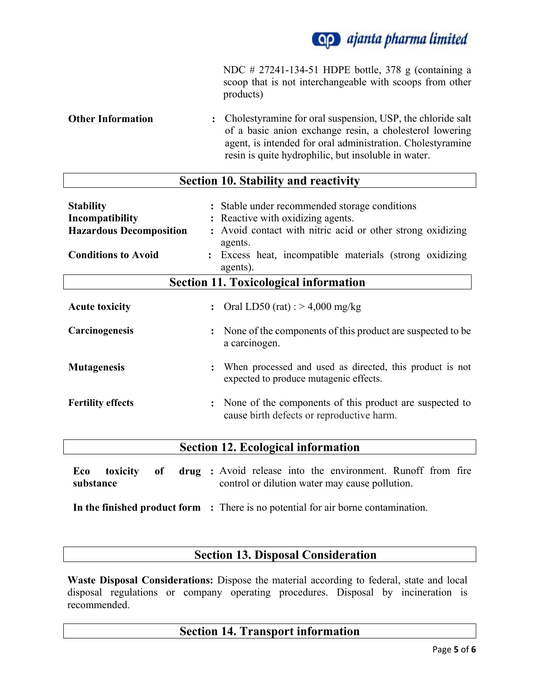

NDC # 27241-134-51 HDPE bottle, 378 g (containing a scoop that is not interchangeable with scoops from other products)

**Other Information :** Cholestyramine for oral suspension, USP, the chloride salt of a basic anion exchange resin, a cholesterol lowering agent, is intended for oral administration. Cholestyramine resin is quite hydrophilic, but insoluble in water.

# **Section 10. Stability and reactivity**

| <b>Stability</b><br>Incompatibility<br><b>Hazardous Decomposition</b><br><b>Conditions to Avoid</b> | : Stable under recommended storage conditions<br>: Reactive with oxidizing agents.<br>: Avoid contact with nitric acid or other strong oxidizing<br>agents.<br>: Excess heat, incompatible materials (strong oxidizing<br>agents). |  |
|-----------------------------------------------------------------------------------------------------|------------------------------------------------------------------------------------------------------------------------------------------------------------------------------------------------------------------------------------|--|
| <b>Section 11. Toxicological information</b>                                                        |                                                                                                                                                                                                                                    |  |
| <b>Acute toxicity</b>                                                                               | : Oral LD50 (rat) : $> 4,000$ mg/kg                                                                                                                                                                                                |  |
| Carcinogenesis                                                                                      | : None of the components of this product are suspected to be<br>a carcinogen.                                                                                                                                                      |  |
| <b>Mutagenesis</b>                                                                                  | : When processed and used as directed, this product is not<br>expected to produce mutagenic effects.                                                                                                                               |  |
| <b>Fertility effects</b>                                                                            | : None of the components of this product are suspected to<br>cause birth defects or reproductive harm.                                                                                                                             |  |

## **Section 12. Ecological information**

**Eco** toxicity of **substance :** Avoid release into the environment. Runoff from fire control or dilution water may cause pollution.

**In the finished product form :** There is no potential for air borne contamination.

## **Section 13. Disposal Consideration**

**Waste Disposal Considerations:** Dispose the material according to federal, state and local disposal regulations or company operating procedures. Disposal by incineration is recommended.

## **Section 14. Transport information**